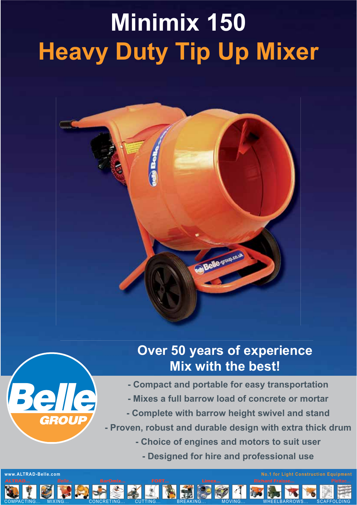## **Minimix 150 Heavy Duty Tip Up Mixer**





 $\boldsymbol{\mathcal{C}}$ 

## **Over 50 years of experience Mix with the best!**

- **Compact and portable for easy transportation**
- **Mixes a full barrow load of concrete or mortar**
- **Complete with barrow height swivel and stand**
- **Proven, robust and durable design with extra thick drum**
	- **Choice of engines and motors to suit user**
		- **Designed for hire and professional use**

K

COMPACTING... MIXING... CONCRETING... CUTTING... BREAKING... MOVING... WHEELBARROWS... SCAFFOLDING

**www.ALTRAD-Belle.com No.1 for Light Construction Equipment**